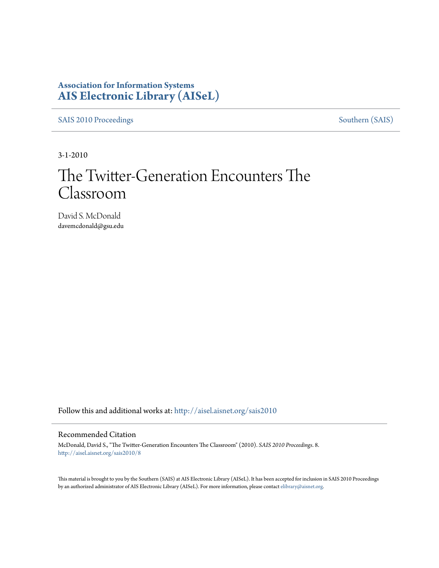## **Association for Information Systems [AIS Electronic Library \(AISeL\)](http://aisel.aisnet.org?utm_source=aisel.aisnet.org%2Fsais2010%2F8&utm_medium=PDF&utm_campaign=PDFCoverPages)**

[SAIS 2010 Proceedings](http://aisel.aisnet.org/sais2010?utm_source=aisel.aisnet.org%2Fsais2010%2F8&utm_medium=PDF&utm_campaign=PDFCoverPages) [Southern \(SAIS\)](http://aisel.aisnet.org/sais?utm_source=aisel.aisnet.org%2Fsais2010%2F8&utm_medium=PDF&utm_campaign=PDFCoverPages)

3-1-2010

# The Twitter-Generation Encounters The Classroom

David S. McDonald davemcdonald@gsu.edu

Follow this and additional works at: [http://aisel.aisnet.org/sais2010](http://aisel.aisnet.org/sais2010?utm_source=aisel.aisnet.org%2Fsais2010%2F8&utm_medium=PDF&utm_campaign=PDFCoverPages)

#### Recommended Citation

McDonald, David S., "The Twitter-Generation Encounters The Classroom" (2010). *SAIS 2010 Proceedings*. 8. [http://aisel.aisnet.org/sais2010/8](http://aisel.aisnet.org/sais2010/8?utm_source=aisel.aisnet.org%2Fsais2010%2F8&utm_medium=PDF&utm_campaign=PDFCoverPages)

This material is brought to you by the Southern (SAIS) at AIS Electronic Library (AISeL). It has been accepted for inclusion in SAIS 2010 Proceedings by an authorized administrator of AIS Electronic Library (AISeL). For more information, please contact [elibrary@aisnet.org](mailto:elibrary@aisnet.org%3E).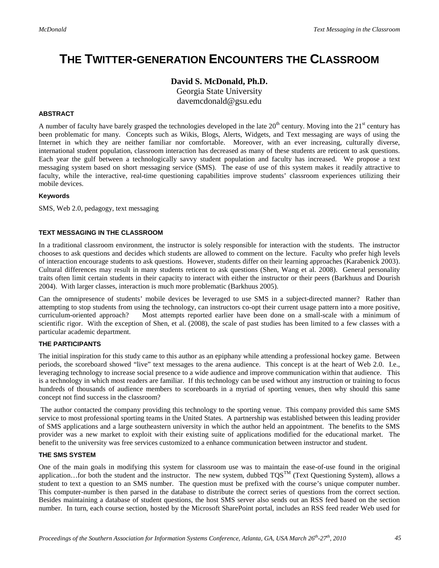# **THE TWITTER-GENERATION ENCOUNTERS THE CLASSROOM**

### **David S. McDonald, Ph.D.**

Georgia State University davemcdonald@gsu.edu

#### **ABSTRACT**

A number of faculty have barely grasped the technologies developed in the late  $20<sup>th</sup>$  century. Moving into the  $21<sup>st</sup>$  century has been problematic for many. Concepts such as Wikis, Blogs, Alerts, Widgets, and Text messaging are ways of using the Internet in which they are neither familiar nor comfortable. Moreover, with an ever increasing, culturally diverse, international student population, classroom interaction has decreased as many of these students are reticent to ask questions. Each year the gulf between a technologically savvy student population and faculty has increased. We propose a text messaging system based on short messaging service (SMS). The ease of use of this system makes it readily attractive to faculty, while the interactive, real-time questioning capabilities improve students' classroom experiences utilizing their mobile devices.

#### **Keywords**

SMS, Web 2.0, pedagogy, text messaging

#### **TEXT MESSAGING IN THE CLASSROOM**

In a traditional classroom environment, the instructor is solely responsible for interaction with the students. The instructor chooses to ask questions and decides which students are allowed to comment on the lecture. Faculty who prefer high levels of interaction encourage students to ask questions. However, students differ on their learning approaches (Karabenick 2003). Cultural differences may result in many students reticent to ask questions (Shen, Wang et al. 2008). General personality traits often limit certain students in their capacity to interact with either the instructor or their peers (Barkhuus and Dourish 2004). With larger classes, interaction is much more problematic (Barkhuus 2005).

Can the omnipresence of students' mobile devices be leveraged to use SMS in a subject-directed manner? Rather than attempting to stop students from using the technology, can instructors co-opt their current usage pattern into a more positive, curriculum-oriented approach? Most attempts reported earlier have been done on a small-scale with a minimum of scientific rigor. With the exception of Shen, et al. (2008), the scale of past studies has been limited to a few classes with a particular academic department.

#### **THE PARTICIPANTS**

The initial inspiration for this study came to this author as an epiphany while attending a professional hockey game. Between periods, the scoreboard showed "live" text messages to the arena audience. This concept is at the heart of Web 2.0. I.e., leveraging technology to increase social presence to a wide audience and improve communication within that audience. This is a technology in which most readers are familiar. If this technology can be used without any instruction or training to focus hundreds of thousands of audience members to scoreboards in a myriad of sporting venues, then why should this same concept not find success in the classroom?

The author contacted the company providing this technology to the sporting venue. This company provided this same SMS service to most professional sporting teams in the United States. A partnership was established between this leading provider of SMS applications and a large southeastern university in which the author held an appointment. The benefits to the SMS provider was a new market to exploit with their existing suite of applications modified for the educational market. The benefit to the university was free services customized to a enhance communication between instructor and student.

#### **THE SMS SYSTEM**

One of the main goals in modifying this system for classroom use was to maintain the ease-of-use found in the original application…for both the student and the instructor. The new system, dubbed  $TQS^{TM}$  (Text Questioning System), allows a student to text a question to an SMS number. The question must be prefixed with the course's unique computer number. This computer-number is then parsed in the database to distribute the correct series of questions from the correct section. Besides maintaining a database of student questions, the host SMS server also sends out an RSS feed based on the section number. In turn, each course section, hosted by the Microsoft SharePoint portal, includes an RSS feed reader Web used for